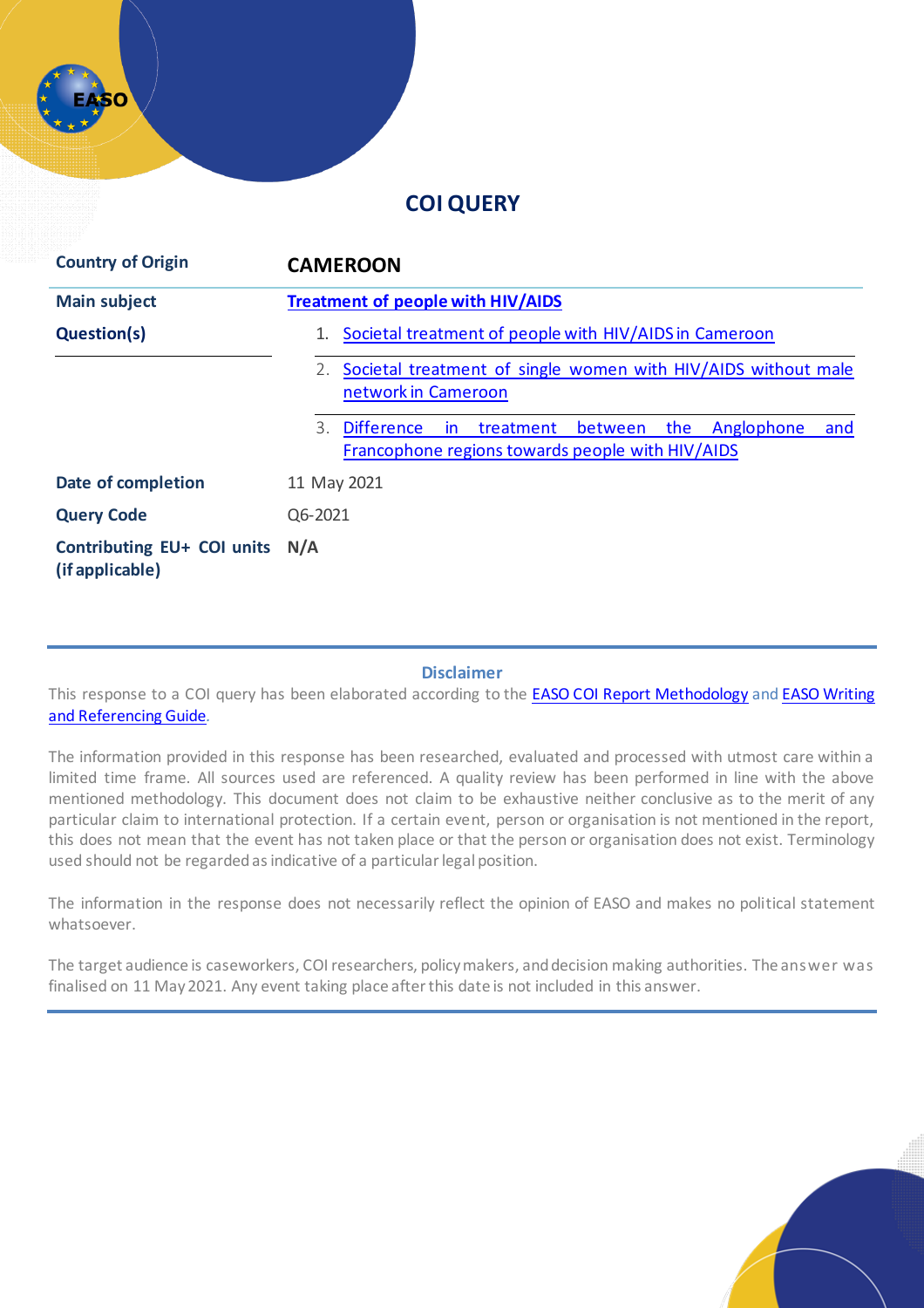## **COI QUERY**

| <b>Country of Origin</b>                             | <b>CAMEROON</b>                                                                                                                        |
|------------------------------------------------------|----------------------------------------------------------------------------------------------------------------------------------------|
| <b>Main subject</b>                                  | <b>Treatment of people with HIV/AIDS</b>                                                                                               |
| <b>Question(s)</b>                                   | Societal treatment of people with HIV/AIDS in Cameroon                                                                                 |
|                                                      | Societal treatment of single women with HIV/AIDS without male<br>2.<br>network in Cameroon                                             |
|                                                      | the<br>Anglophone<br>3.<br><b>Difference</b><br>between<br>treatment<br>and<br>in.<br>Francophone regions towards people with HIV/AIDS |
| Date of completion                                   | 11 May 2021                                                                                                                            |
| <b>Query Code</b>                                    | Q6-2021                                                                                                                                |
| <b>Contributing EU+ COI units</b><br>(if applicable) | N/A                                                                                                                                    |

#### **Disclaimer**

This response to a COI query has been elaborated according to the **[EASO COI Report Methodology](https://coi.easo.europa.eu/administration/easo/PLib/2019_EASO_COI_Report_Methodology.pdf)** and **EASO Writing** [and Referencing Guide](https://coi.easo.europa.eu/administration/easo/PLib/2019_EASO_COI_Writing_and_Referencing_Guide.pdf)*.* 

The information provided in this response has been researched, evaluated and processed with utmost care within a limited time frame. All sources used are referenced. A quality review has been performed in line with the above mentioned methodology. This document does not claim to be exhaustive neither conclusive as to the merit of any particular claim to international protection. If a certain event, person or organisation is not mentioned in the report, this does not mean that the event has not taken place or that the person or organisation does not exist. Terminology used should not be regarded as indicative of a particular legal position.

The information in the response does not necessarily reflect the opinion of EASO and makes no political statement whatsoever.

The target audience is caseworkers, COI researchers, policy makers, and decision making authorities. The answer was finalised on 11 May 2021. Any event taking place after this date is not included in this answer.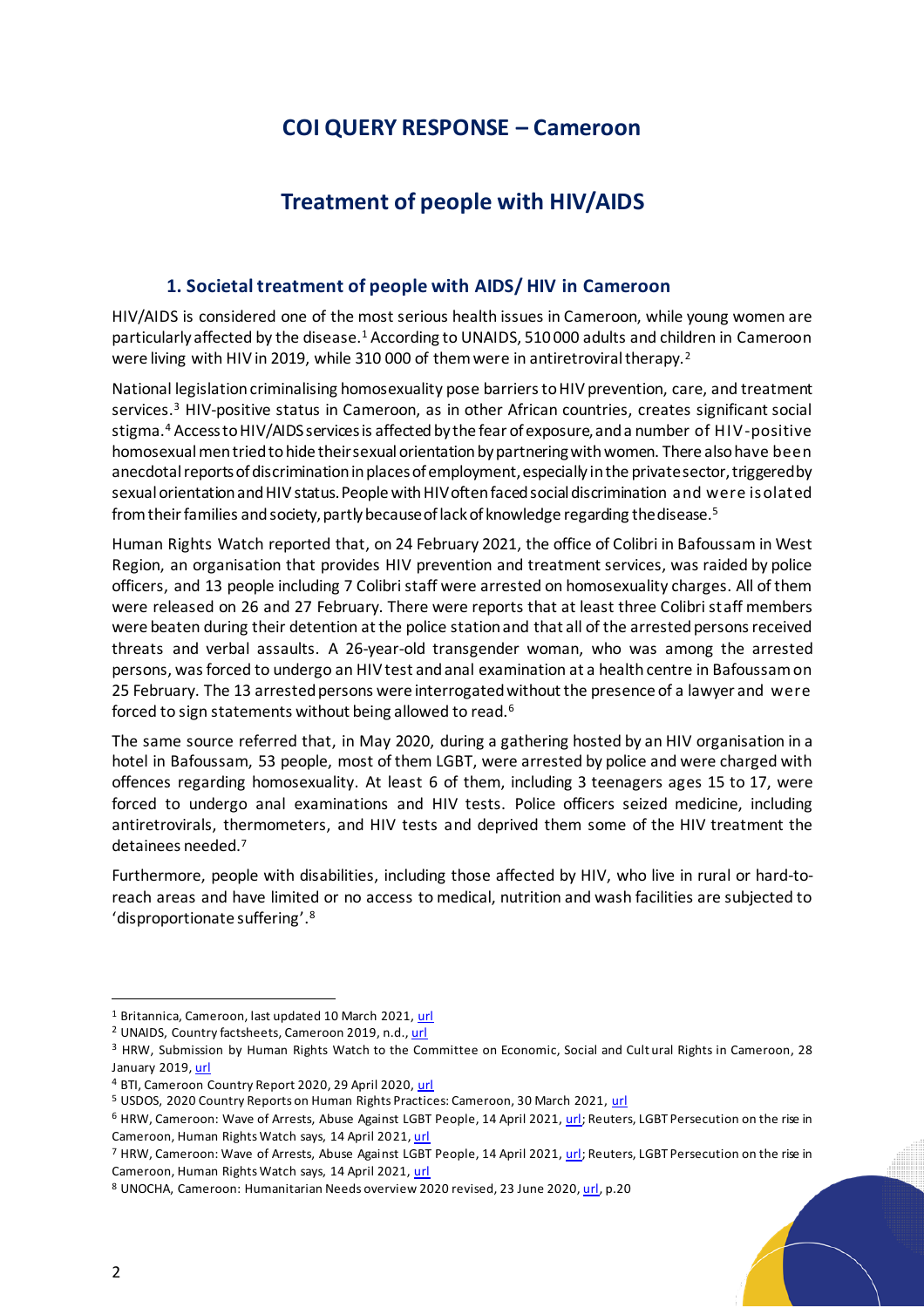# **COI QUERY RESPONSE – Cameroon**

# **Treatment of people with HIV/AIDS**

#### <span id="page-1-0"></span>**1. Societal treatment of people with AIDS/ HIV in Cameroon**

<span id="page-1-1"></span>HIV/AIDS is considered one of the most serious health issues in Cameroon, while young women are particularly affected by the disease.<sup>1</sup> According to UNAIDS, 510 000 adults and children in Cameroon were living with HIV in 2019, while 310 000 of them were in antiretroviral therapy.<sup>2</sup>

National legislation criminalising homosexuality pose barriers to HIV prevention, care, and treatment services.<sup>3</sup> HIV-positive status in Cameroon, as in other African countries, creates significant social stigma.<sup>4</sup> Access to HIV/AIDS services is affected by the fear of exposure, and a number of HIV-positive homosexual men tried to hide their sexual orientation by partnering with women. There also have been anecdotal reports of discrimination in places of employment, especially in the private sector, triggered by sexual orientation and HIV status. People with HIV often faced social discrimination and were isolated from their families and society, partly because of lack of knowledge regarding the disease.<sup>5</sup>

Human Rights Watch reported that, on 24 February 2021, the office of Colibri in Bafoussam in West Region, an organisation that provides HIV prevention and treatment services, was raided by police officers, and 13 people including 7 Colibri staff were arrested on homosexuality charges. All of them were released on 26 and 27 February. There were reports that at least three Colibri staff members were beaten during their detention at the police station and that all of the arrested persons received threats and verbal assaults. A 26-year-old transgender woman, who was among the arrested persons, was forced to undergo an HIV test and anal examination at a health centre in Bafoussam on 25 February. The 13 arrested persons were interrogated without the presence of a lawyer and were forced to sign statements without being allowed to read.<sup>6</sup>

The same source referred that, in May 2020, during a gathering hosted by an HIV organisation in a hotel in Bafoussam, 53 people, most of them LGBT, were arrested by police and were charged with offences regarding homosexuality. At least 6 of them, including 3 teenagers ages 15 to 17, were forced to undergo anal examinations and HIV tests. Police officers seized medicine, including antiretrovirals, thermometers, and HIV tests and deprived them some of the HIV treatment the detainees needed.<sup>7</sup>

Furthermore, people with disabilities, including those affected by HIV, who live in rural or hard-toreach areas and have limited or no access to medical, nutrition and wash facilities are subjected to 'disproportionate suffering'. 8

<sup>1</sup> Britannica, Cameroon, last updated 10 March 2021[, url](https://www.britannica.com/place/Cameroon/Health-and-welfare)

<sup>&</sup>lt;sup>2</sup> UNAIDS, Country factsheets, Cameroon 2019, n.d.[, url](https://www.unaids.org/en/regionscountries/countries/cameroon)

<sup>&</sup>lt;sup>3</sup> HRW, Submission by Human Rights Watch to the Committee on Economic, Social and Cult ural Rights in Cameroon, 28 January 2019[, url](https://www.hrw.org/news/2019/01/28/submission-human-rights-watch-committee-economic-social-and-cultural-rights)

<sup>4</sup> BTI, Cameroon Country Report 2020, 29 April 2020[, url](https://www.bti-project.org/en/reports/country-report-CMR.html)

<sup>&</sup>lt;sup>5</sup> USDOS, 2020 Country Reports on Human Rights Practices: Cameroon, 30 March 2021[, url](https://www.state.gov/reports/2020-country-reports-on-human-rights-practices/cameroon/)

<sup>&</sup>lt;sup>6</sup> HRW, Cameroon: Wave of Arrests, Abuse Against LGBT People, 14 April 2021[, url;](https://www.hrw.org/news/2021/04/14/cameroon-wave-arrests-abuse-against-lgbt-people) Reuters, LGBT Persecution on the rise in Cameroon, Human Rights Watch says, 14 April 2021[, url](https://www.reuters.com/world/africa/lgbt-persecution-rise-cameroon-human-rights-watch-says-2021-04-14/)

<sup>&</sup>lt;sup>7</sup> HRW, Cameroon: Wave of Arrests, Abuse Against LGBT People, 14 April 2021[, url;](https://www.hrw.org/news/2021/04/14/cameroon-wave-arrests-abuse-against-lgbt-people) Reuters, LGBT Persecution on the rise in Cameroon, Human Rights Watch says, 14 April 2021[, url](https://www.reuters.com/world/africa/lgbt-persecution-rise-cameroon-human-rights-watch-says-2021-04-14/)

<sup>8</sup> UNOCHA, Cameroon: Humanitarian Needs overview 2020 revised, 23 June 202[0, url](https://www.humanitarianresponse.info/sites/www.humanitarianresponse.info/files/documents/files/cmr_hno_2020-revised_25062020_print.pdf), p.20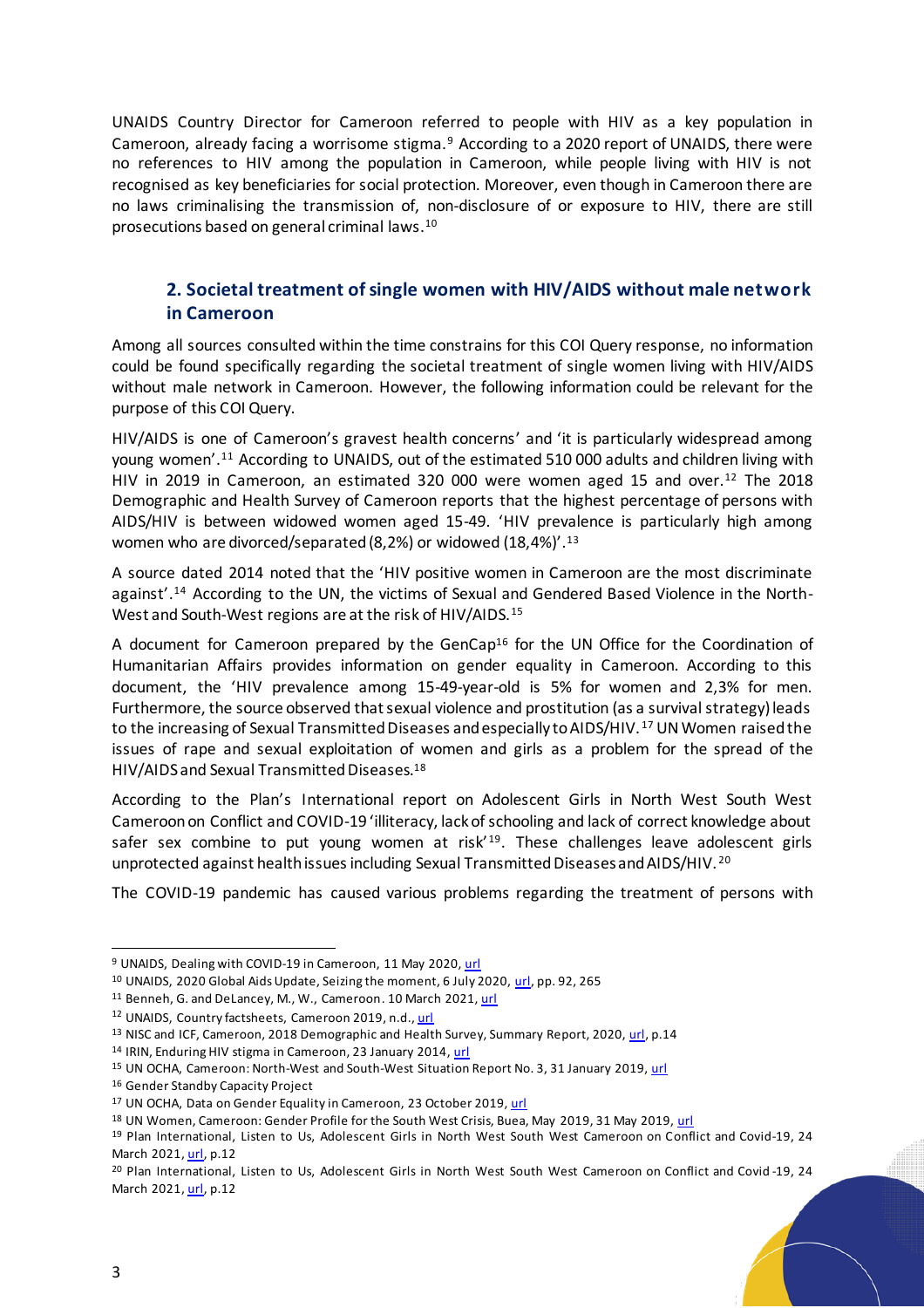UNAIDS Country Director for Cameroon referred to people with HIV as a key population in Cameroon, already facing a worrisome stigma.<sup>9</sup> According to a 2020 report of UNAIDS, there were no references to HIV among the population in Cameroon, while people living with HIV is not recognised as key beneficiaries for social protection. Moreover, even though in Cameroon there are no laws criminalising the transmission of, non-disclosure of or exposure to HIV, there are still prosecutions based on general criminal laws.<sup>10</sup>

## <span id="page-2-0"></span>**2. Societal treatment ofsingle women with HIV/AIDS without male network in Cameroon**

Among all sources consulted within the time constrains for this COI Query response, no information could be found specifically regarding the societal treatment of single women living with HIV/AIDS without male network in Cameroon. However, the following information could be relevant for the purpose of this COI Query.

HIV/AIDS is one of Cameroon's gravest health concerns' and 'it is particularly widespread among young women'.<sup>11</sup> According to UNAIDS, out of the estimated 510 000 adults and children living with HIV in 2019 in Cameroon, an estimated 320 000 were women aged 15 and over.<sup>12</sup> The 2018 Demographic and Health Survey of Cameroon reports that the highest percentage of persons with AIDS/HIV is between widowed women aged 15-49. 'HIV prevalence is particularly high among women who are divorced/separated (8,2%) or widowed (18,4%)'.<sup>13</sup>

A source dated 2014 noted that the 'HIV positive women in Cameroon are the most discriminate against'.<sup>14</sup> According to the UN, the victims of Sexual and Gendered Based Violence in the North-West and South-West regions are at the risk of HIV/AIDS.<sup>15</sup>

A document for Cameroon prepared by the GenCap<sup>16</sup> for the UN Office for the Coordination of Humanitarian Affairs provides information on gender equality in Cameroon. According to this document, the 'HIV prevalence among 15-49-year-old is 5% for women and 2,3% for men. Furthermore, the source observed that sexual violence and prostitution (as a survival strategy) leads to the increasing of Sexual Transmitted Diseases and especially to AIDS/HIV. <sup>17</sup> UN Women raisedthe issues of rape and sexual exploitation of women and girls as a problem for the spread of the HIV/AIDS and Sexual Transmitted Diseases.<sup>18</sup>

According to the Plan's International report on Adolescent Girls in North West South West Cameroon on Conflict and COVID-19 'illiteracy, lack of schooling and lack of correct knowledge about safer sex combine to put young women at risk<sup>'19</sup>. These challenges leave adolescent girls unprotected against health issues including Sexual Transmitted Diseases and AIDS/HIV.<sup>20</sup>

The COVID-19 pandemic has caused various problems regarding the treatment of persons with

<sup>9</sup> UNAIDS, Dealing with COVID-19 in Cameroon, 11 May 2020[, url](https://www.unaids.org/en/resources/presscentre/featurestories/2020/may/20200511_covid19-cameroon)

<sup>10</sup> UNAIDS, 2020 Global Aids Update, Seizing the moment, 6 July 2020[, url](https://reliefweb.int/sites/reliefweb.int/files/resources/Global%20AIDS%20Update%202020%20-%20Seizing%20the%20moment%20-%20Tackling%20entrenched%20inequalities%20to%20end%20epidemics.pdf), pp. 92, 265

<sup>11</sup> Benneh, G. and DeLancey, M., W., Cameroon. 10 March 2021[, url](Benneh,%20George%20and%20DeLancey,%20Mark%20W..%20%22Cameroon%22.%20Encyclopedia%20Britannica,%2010%20Mar.%202021,%20https:/www.britannica.com/place/Cameroon.%20Accessed%2010%20May%202021.)

<sup>12</sup> UNAIDS, Country factsheets, Cameroon 2019, n.d.[, url](https://www.unaids.org/en/regionscountries/countries/cameroon)

<sup>&</sup>lt;sup>13</sup> NISC and ICF, Cameroon, 2018 Demographic and Health Survey, Summary Report, 2020[, url,](https://www.dhsprogram.com/pubs/pdf/SR266/SR266.pdf) p.14

<sup>14</sup> IRIN, Enduring HIV stigma in Cameroon, 23 January 2014[, url](https://www.refworld.org/docid/52e2618f4.html)

<sup>&</sup>lt;sup>15</sup> UN OCHA, Cameroon: North-West and South-West Situation Report No. 3, 31 January 2019[, url](https://www.humanitarianresponse.info/en/operations/cameroon/document/cameroon-north-west-and-south-west-crisis-situation-report-n%C2%B03-31)

<sup>16</sup> Gender Standby Capacity Project

<sup>17</sup> UN OCHA, Data on Gender Equality in Cameroon, 23 October 2019[, url](https://reliefweb.int/sites/reliefweb.int/files/resources/data_on_gender_equality_in_cameroon-hno_2020-17_oct_19.pdf)

<sup>18</sup> UN Women, Cameroon: Gender Profile for the South West Crisis, Buea, May 2019, 31 May 2019[, url](https://reliefweb.int/sites/reliefweb.int/files/resources/Gender-profile-SW-May-2019.pdf)

<sup>&</sup>lt;sup>19</sup> Plan International, Listen to Us, Adolescent Girls in North West South West Cameroon on Conflict and Covid-19, 24 March 2021[, url,](https://reliefweb.int/sites/reliefweb.int/files/resources/Listen%20to%20us%20%E2%80%93%20Adolescent%20Girls%20in%20North%20West%20South%20West%20Cameroon%20on%20Conflict%20and%20COVID-19.pdf) p.12

<sup>&</sup>lt;sup>20</sup> Plan International, Listen to Us, Adolescent Girls in North West South West Cameroon on Conflict and Covid-19, 24 March 2021[, url,](https://reliefweb.int/sites/reliefweb.int/files/resources/Listen%20to%20us%20%E2%80%93%20Adolescent%20Girls%20in%20North%20West%20South%20West%20Cameroon%20on%20Conflict%20and%20COVID-19.pdf) p.12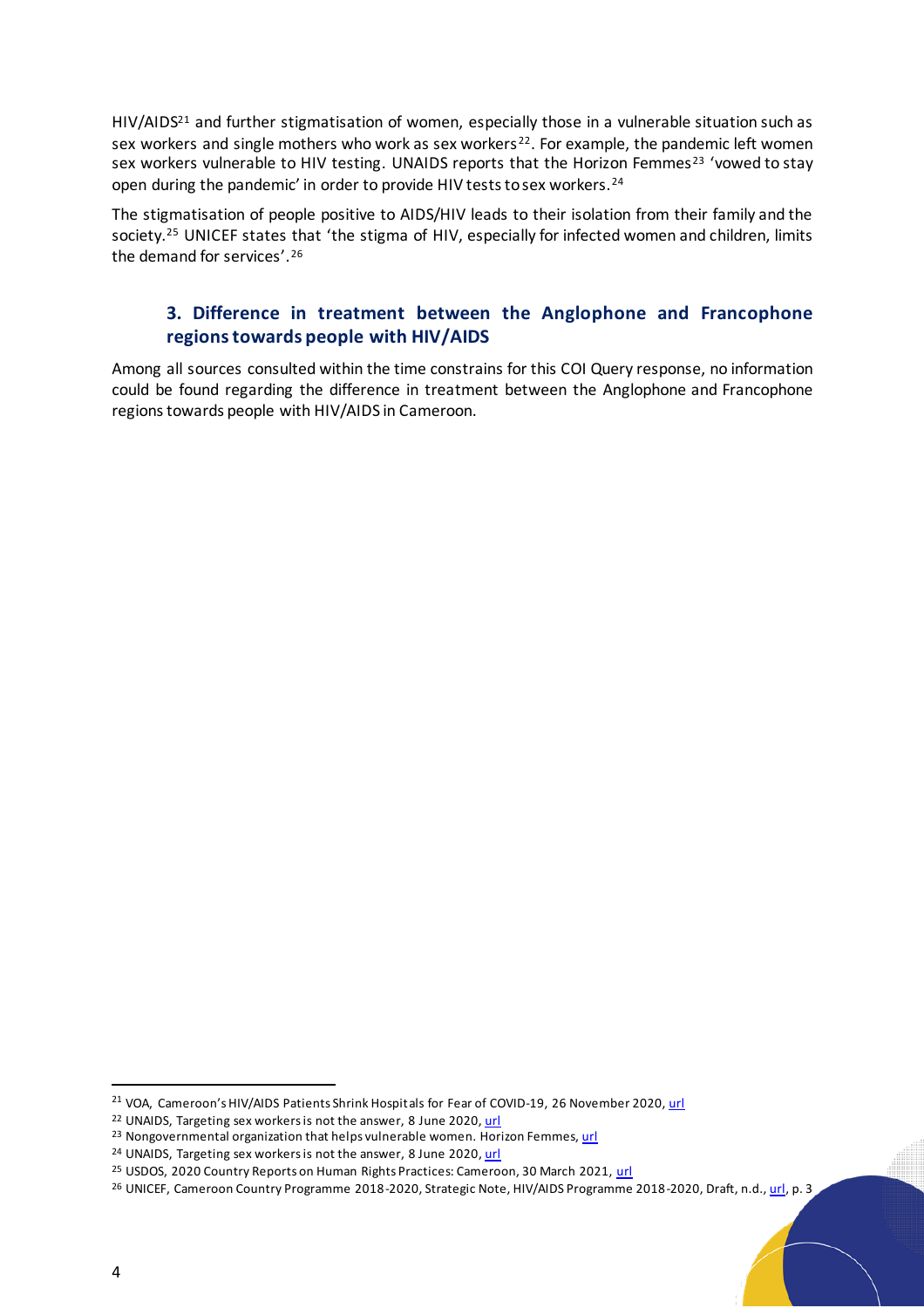$HIV/AIDS<sup>21</sup>$  and further stigmatisation of women, especially those in a vulnerable situation such as sex workers and single mothers who work as sex workers<sup>22</sup>. For example, the pandemic left women sex workers vulnerable to HIV testing. UNAIDS reports that the Horizon Femmes<sup>23</sup> 'vowed to stay open during the pandemic' in order to provide HIV tests to sex workers.<sup>24</sup>

The stigmatisation of people positive to AIDS/HIV leads to their isolation from their family and the society.<sup>25</sup> UNICEF states that 'the stigma of HIV, especially for infected women and children, limits the demand for services'.<sup>26</sup>

### <span id="page-3-0"></span>**3. Difference in treatment between the Anglophone and Francophone regions towards people with HIV/AIDS**

Among all sources consulted within the time constrains for this COI Query response, no information could be found regarding the difference in treatment between the Anglophone and Francophone regions towards people with HIV/AIDS in Cameroon.

<sup>&</sup>lt;sup>21</sup> VOA, Cameroon's HIV/AIDS Patients Shrink Hospitals for Fear of COVID-19, 26 November 2020[, url](https://www.voanews.com/africa/cameroons-hivaids-patients-shirk-hospitals-fear-covid-19)

<sup>&</sup>lt;sup>22</sup> UNAIDS, Targeting sex workers is not the answer, 8 June 2020[, url](https://www.unaids.org/en/keywords/cameroon)

<sup>&</sup>lt;sup>23</sup> Nongovernmental organization that helps vulnerable women. Horizon Femmes, [url](http://horizonsfemmes.org/)

<sup>&</sup>lt;sup>24</sup> UNAIDS, Targeting sex workers is not the answer, 8 June 2020[, url](https://www.unaids.org/en/keywords/cameroon)

<sup>&</sup>lt;sup>25</sup> USDOS, 2020 Country Reports on Human Rights Practices: Cameroon, 30 March 2021[, url](https://www.state.gov/wp-content/uploads/2021/03/CAMEROON-2020-HUMAN-RIGHTS-REPORT.pdf)

<sup>&</sup>lt;sup>26</sup> UNICEF, Cameroon Country Programme 2018-2020, Strategic Note, HIV/AIDS Programme 2018-2020, Draft, n.d.[, url](http://files.unicef.org/transparency/documents/Cameroon_Strategy%20Note%20-%20HIVAIDS%20-%20final%20sd.pdf), p. 3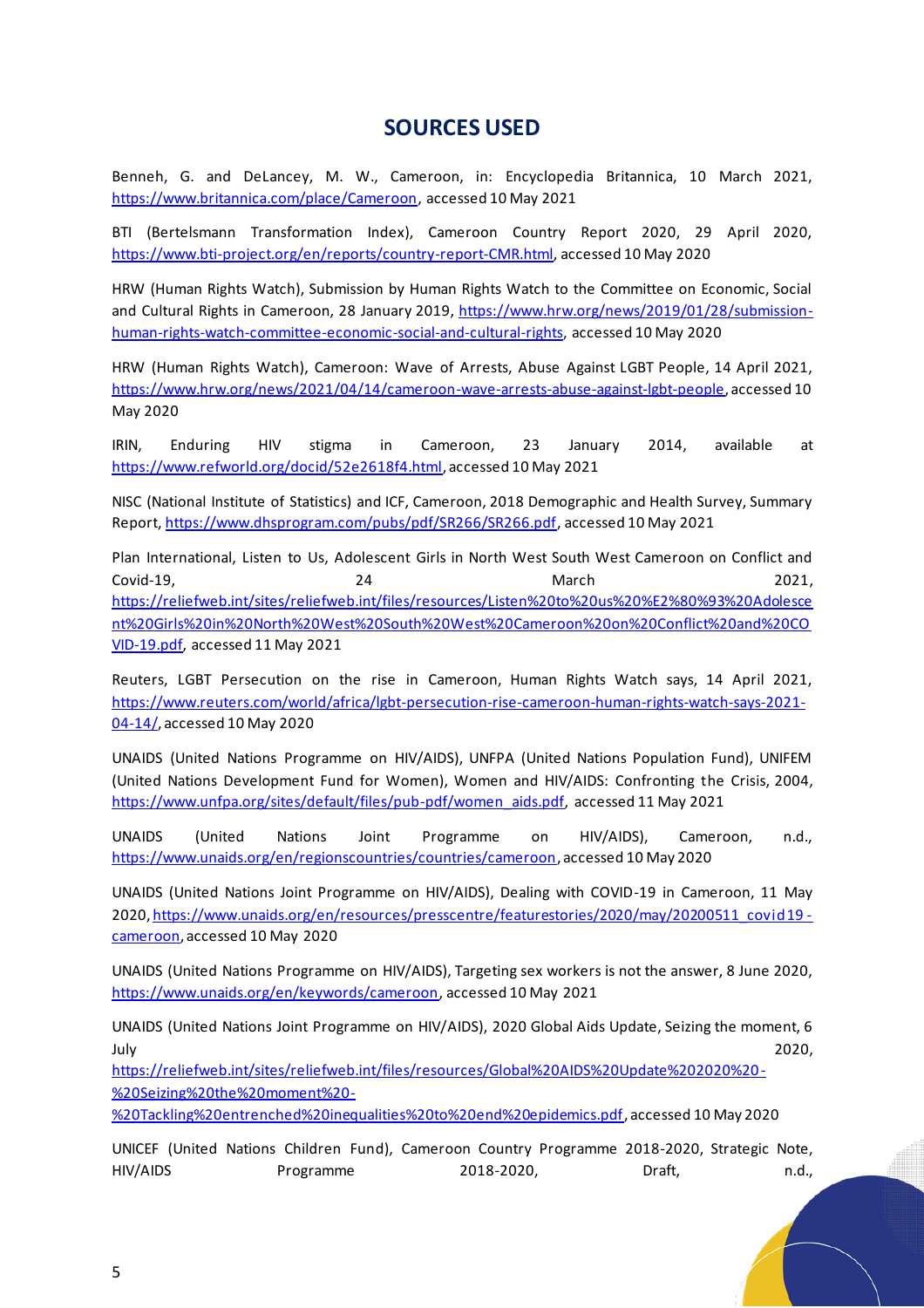## **SOURCES USED**

Benneh, G. and DeLancey, M. W., Cameroon, in: Encyclopedia Britannica, 10 March 2021, [https://www.britannica.com/place/Cameroon,](https://www.britannica.com/place/Cameroon) accessed 10 May 2021

BTI (Bertelsmann Transformation Index), Cameroon Country Report 2020, 29 April 2020, [https://www.bti-project.org/en/reports/country-report-CMR.html,](https://www.bti-project.org/en/reports/country-report-CMR.html) accessed 10 May 2020

HRW (Human Rights Watch), Submission by Human Rights Watch to the Committee on Economic, Social and Cultural Rights in Cameroon, 28 January 2019, [https://www.hrw.org/news/2019/01/28/submission](https://www.hrw.org/news/2019/01/28/submission-human-rights-watch-committee-economic-social-and-cultural-rights)[human-rights-watch-committee-economic-social-and-cultural-rights,](https://www.hrw.org/news/2019/01/28/submission-human-rights-watch-committee-economic-social-and-cultural-rights) accessed 10 May 2020

HRW (Human Rights Watch), Cameroon: Wave of Arrests, Abuse Against LGBT People, 14 April 2021, <https://www.hrw.org/news/2021/04/14/cameroon-wave-arrests-abuse-against-lgbt-people>, accessed 10 May 2020

IRIN, Enduring HIV stigma in Cameroon, 23 January 2014, available at [https://www.refworld.org/docid/52e2618f4.html,](https://www.refworld.org/docid/52e2618f4.html) accessed 10 May 2021

NISC (National Institute of Statistics) and ICF, Cameroon, 2018 Demographic and Health Survey, Summary Report[, https://www.dhsprogram.com/pubs/pdf/SR266/SR266.pdf,](https://www.dhsprogram.com/pubs/pdf/SR266/SR266.pdf) accessed 10 May 2021

Plan International, Listen to Us, Adolescent Girls in North West South West Cameroon on Conflict and Covid-19, 24 March 2021, [https://reliefweb.int/sites/reliefweb.int/files/resources/Listen%20to%20us%20%E2%80%93%20Adolesce](https://reliefweb.int/sites/reliefweb.int/files/resources/Listen%20to%20us%20%E2%80%93%20Adolescent%20Girls%20in%20North%20West%20South%20West%20Cameroon%20on%20Conflict%20and%20COVID-19.pdf) [nt%20Girls%20in%20North%20West%20South%20West%20Cameroon%20on%20Conflict%20and%20CO](https://reliefweb.int/sites/reliefweb.int/files/resources/Listen%20to%20us%20%E2%80%93%20Adolescent%20Girls%20in%20North%20West%20South%20West%20Cameroon%20on%20Conflict%20and%20COVID-19.pdf) [VID-19.pdf,](https://reliefweb.int/sites/reliefweb.int/files/resources/Listen%20to%20us%20%E2%80%93%20Adolescent%20Girls%20in%20North%20West%20South%20West%20Cameroon%20on%20Conflict%20and%20COVID-19.pdf) accessed 11 May 2021

Reuters, LGBT Persecution on the rise in Cameroon, Human Rights Watch says, 14 April 2021, [https://www.reuters.com/world/africa/lgbt-persecution-rise-cameroon-human-rights-watch-says-2021-](https://www.reuters.com/world/africa/lgbt-persecution-rise-cameroon-human-rights-watch-says-2021-04-14/) [04-14/,](https://www.reuters.com/world/africa/lgbt-persecution-rise-cameroon-human-rights-watch-says-2021-04-14/) accessed 10 May 2020

UNAIDS (United Nations Programme on HIV/AIDS), UNFPA (United Nations Population Fund), UNIFEM (United Nations Development Fund for Women), Women and HIV/AIDS: Confronting the Crisis, 2004, [https://www.unfpa.org/sites/default/files/pub-pdf/women\\_aids.pdf,](https://www.unfpa.org/sites/default/files/pub-pdf/women_aids.pdf) accessed 11 May 2021

UNAIDS (United Nations Joint Programme on HIV/AIDS), Cameroon, n.d., [https://www.unaids.org/en/regionscountries/countries/cameroon,](https://www.unaids.org/en/regionscountries/countries/cameroon) accessed 10 May 2020

UNAIDS (United Nations Joint Programme on HIV/AIDS), Dealing with COVID-19 in Cameroon, 11 May 2020, h[ttps://www.unaids.org/en/resources/presscentre/featurestories/2020/may/20200511\\_covid19](https://www.unaids.org/en/resources/presscentre/featurestories/2020/may/20200511_covid19-cameroon) [cameroon,](https://www.unaids.org/en/resources/presscentre/featurestories/2020/may/20200511_covid19-cameroon) accessed 10 May 2020

UNAIDS (United Nations Programme on HIV/AIDS), Targeting sex workers is not the answer, 8 June 2020, [https://www.unaids.org/en/keywords/cameroon,](https://www.unaids.org/en/keywords/cameroon) accessed 10 May 2021

UNAIDS (United Nations Joint Programme on HIV/AIDS), 2020 Global Aids Update, Seizing the moment, 6 July 2020,

[https://reliefweb.int/sites/reliefweb.int/files/resources/Global%20AIDS%20Update%202020%20-](https://reliefweb.int/sites/reliefweb.int/files/resources/Global%20AIDS%20Update%202020%20-%20Seizing%20the%20moment%20-%20Tackling%20entrenched%20inequalities%20to%20end%20epidemics.pdf) [%20Seizing%20the%20moment%20-](https://reliefweb.int/sites/reliefweb.int/files/resources/Global%20AIDS%20Update%202020%20-%20Seizing%20the%20moment%20-%20Tackling%20entrenched%20inequalities%20to%20end%20epidemics.pdf)

[%20Tackling%20entrenched%20inequalities%20to%20end%20epidemics.pdf](https://reliefweb.int/sites/reliefweb.int/files/resources/Global%20AIDS%20Update%202020%20-%20Seizing%20the%20moment%20-%20Tackling%20entrenched%20inequalities%20to%20end%20epidemics.pdf), accessed 10 May 2020

UNICEF (United Nations Children Fund), Cameroon Country Programme 2018-2020, Strategic Note, HIV/AIDS Programme 2018-2020, Draft, n.d.,